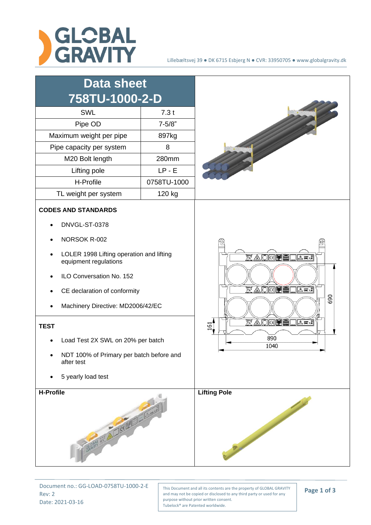

| <b>Data sheet</b><br>758TU-1000-2-D                                                                                                                                                                                                                                                                                                                                   |             |                                                                                                                                                                                                                   |
|-----------------------------------------------------------------------------------------------------------------------------------------------------------------------------------------------------------------------------------------------------------------------------------------------------------------------------------------------------------------------|-------------|-------------------------------------------------------------------------------------------------------------------------------------------------------------------------------------------------------------------|
| <b>SWL</b>                                                                                                                                                                                                                                                                                                                                                            | 7.3t        |                                                                                                                                                                                                                   |
| Pipe OD                                                                                                                                                                                                                                                                                                                                                               | $7 - 5/8"$  |                                                                                                                                                                                                                   |
| Maximum weight per pipe                                                                                                                                                                                                                                                                                                                                               | 897kg       |                                                                                                                                                                                                                   |
| Pipe capacity per system                                                                                                                                                                                                                                                                                                                                              | 8           |                                                                                                                                                                                                                   |
| M20 Bolt length                                                                                                                                                                                                                                                                                                                                                       | 280mm       |                                                                                                                                                                                                                   |
| Lifting pole                                                                                                                                                                                                                                                                                                                                                          | $LP - E$    |                                                                                                                                                                                                                   |
| H-Profile                                                                                                                                                                                                                                                                                                                                                             | 0758TU-1000 |                                                                                                                                                                                                                   |
| TL weight per system                                                                                                                                                                                                                                                                                                                                                  | 120 kg      |                                                                                                                                                                                                                   |
| <b>CODES AND STANDARDS</b><br>DNVGL-ST-0378<br>NORSOK R-002<br>LOLER 1998 Lifting operation and lifting<br>equipment regulations<br>ILO Conversation No. 152<br>CE declaration of conformity<br>Machinery Directive: MD2006/42/EC<br><b>TEST</b><br>Load Test 2X SWL on 20% per batch<br>NDT 100% of Primary per batch before and<br>after test<br>5 yearly load test |             | 10<br><b>7% AOK DEI</b><br>$\Delta$ sw 7.3<br>$\overline{K}$ A O CO $\overline{R}$<br>$\sqrt{2 \sin^9 x}$<br>690<br>$\overline{N}\triangle\text{OR}$<br>$A \overline{sm}$ 7. $\overline{x}$<br>161<br>890<br>1040 |
| H-Profile<br>GRAPHY 337 ALICE MILLION                                                                                                                                                                                                                                                                                                                                 |             | <b>Lifting Pole</b>                                                                                                                                                                                               |

Document no.: GG-LOAD-0758TU-1000-2-E Rev: 2 Date: 2021-03-16

This Document and all its contents are the property of GLOBAL GRAVITY and may not be copied or disclosed to any third party or used for any purpose without prior written consent. Tubelock® are Patented worldwide.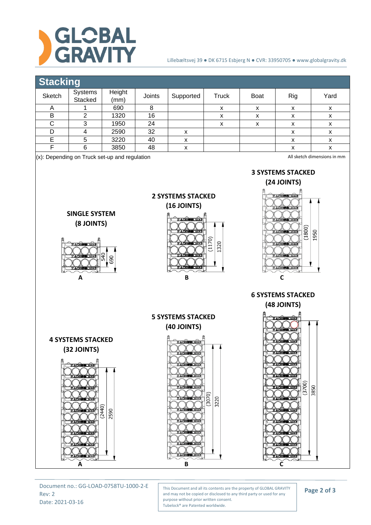

## Lillebæltsvej 39 ● DK 6715 Esbjerg N ● CVR: 33950705 ● www.globalgravity.dk

## **Stacking**

| Sketch | Systems<br>Stacked | Height<br>(mm) | Joints | Supported | <b>Truck</b> | <b>Boat</b> | Rig | Yard |  |
|--------|--------------------|----------------|--------|-----------|--------------|-------------|-----|------|--|
| n      |                    | 690            |        |           | x            | x           | v   | x    |  |
| в      |                    | 1320           | 16     |           |              |             |     |      |  |
|        |                    | 1950           | 24     |           | х            | ⋏           |     | х    |  |
|        |                    | 2590           | 32     |           |              |             |     | x    |  |
|        |                    | 3220           | 40     |           |              |             |     | х    |  |
|        |                    | 3850           | 48     |           |              |             |     |      |  |
|        |                    |                |        |           |              |             |     |      |  |

(x): Depending on Truck set-up and regulation



**A B C**

Document no.: GG-LOAD-0758TU-1000-2-E Rev: 2 Date: 2021-03-16

This Document and all its contents are the property of GLOBAL GRAVITY and may not be copied or disclosed to any third party or used for any purpose without prior written consent. Tubelock® are Patented worldwide.